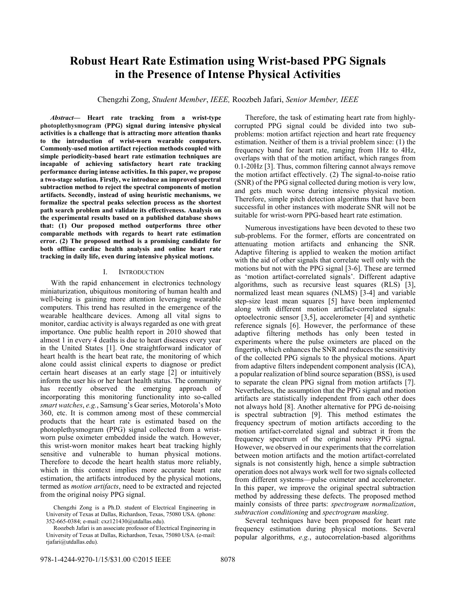# **Robust Heart Rate Estimation using Wrist-based PPG Signals in the Presence of Intense Physical Activities**

Chengzhi Zong, *Student Member*, *IEEE,* Roozbeh Jafari, *Senior Member, IEEE*

*Abstract***— Heart rate tracking from a wrist-type photoplethysmogram (PPG) signal during intensive physical activities is a challenge that is attracting more attention thanks to the introduction of wrist-worn wearable computers. Commonly-used motion artifact rejection methods coupled with simple periodicity-based heart rate estimation techniques are incapable of achieving satisfactory heart rate tracking performance during intense activities. In this paper, we propose a two-stage solution. Firstly, we introduce an improved spectral subtraction method to reject the spectral components of motion artifacts. Secondly, instead of using heuristic mechanisms, we formalize the spectral peaks selection process as the shortest path search problem and validate its effectiveness. Analysis on the experimental results based on a published database shows that: (1) Our proposed method outperforms three other comparable methods with regards to heart rate estimation error. (2) The proposed method is a promising candidate for both offline cardiac health analysis and online heart rate tracking in daily life, even during intensive physical motions.**

## I. INTRODUCTION

With the rapid enhancement in electronics technology miniaturization, ubiquitous monitoring of human health and well-being is gaining more attention leveraging wearable computers. This trend has resulted in the emergence of the wearable healthcare devices. Among all vital signs to monitor, cardiac activity is always regarded as one with great importance. One public health report in 2010 showed that almost 1 in every 4 deaths is due to heart diseases every year in the United States [1]. One straightforward indicator of heart health is the heart beat rate, the monitoring of which alone could assist clinical experts to diagnose or predict certain heart diseases at an early stage [2] or intuitively inform the user his or her heart health status. The community has recently observed the emerging approach of incorporating this monitoring functionality into so-called *smart watches*, *e.g.*, Samsung's Gear series, Motorola's Moto 360, etc. It is common among most of these commercial products that the heart rate is estimated based on the photoplethysmogram (PPG) signal collected from a wristworn pulse oximeter embedded inside the watch. However, this wrist-worn monitor makes heart beat tracking highly sensitive and vulnerable to human physical motions. Therefore to decode the heart health status more reliably, which in this context implies more accurate heart rate estimation, the artifacts introduced by the physical motions, termed as *motion artifacts*, need to be extracted and rejected from the original noisy PPG signal.

Therefore, the task of estimating heart rate from highlycorrupted PPG signal could be divided into two subproblems: motion artifact rejection and heart rate frequency estimation. Neither of them is a trivial problem since: (1) the frequency band for heart rate, ranging from 1Hz to 4Hz, overlaps with that of the motion artifact, which ranges from 0.1-20Hz [3]. Thus, common filtering cannot always remove the motion artifact effectively. (2) The signal-to-noise ratio (SNR) of the PPG signal collected during motion is very low, and gets much worse during intensive physical motion. Therefore, simple pitch detection algorithms that have been successful in other instances with moderate SNR will not be suitable for wrist-worn PPG-based heart rate estimation.

Numerous investigations have been devoted to these two sub-problems. For the former, efforts are concentrated on attenuating motion artifacts and enhancing the SNR. Adaptive filtering is applied to weaken the motion artifact with the aid of other signals that correlate well only with the motions but not with the PPG signal [3-6]. These are termed as 'motion artifact-correlated signals'. Different adaptive algorithms, such as recursive least squares (RLS) [3], normalized least mean squares (NLMS) [3-4] and variable step-size least mean squares [5] have been implemented along with different motion artifact-correlated signals: optoelectronic sensor [3,5], accelerometer [4] and synthetic reference signals [6]. However, the performance of these adaptive filtering methods has only been tested in experiments where the pulse oximeters are placed on the fingertip, which enhances the SNR and reduces the sensitivity of the collected PPG signals to the physical motions. Apart from adaptive filters independent component analysis (ICA), a popular realization of blind source separation (BSS), is used to separate the clean PPG signal from motion artifacts [7]. Nevertheless, the assumption that the PPG signal and motion artifacts are statistically independent from each other does not always hold [8]. Another alternative for PPG de-noising is spectral subtraction [9]. This method estimates the frequency spectrum of motion artifacts according to the motion artifact-correlated signal and subtract it from the frequency spectrum of the original noisy PPG signal. However, we observed in our experiments that the correlation between motion artifacts and the motion artifact-correlated signals is not consistently high, hence a simple subtraction operation does not always work well for two signals collected from different systems—pulse oximeter and accelerometer. In this paper, we improve the original spectral subtraction method by addressing these defects. The proposed method mainly consists of three parts: *spectrogram normalization*, *subtraction conditioning* and *spectrogram masking*.

Several techniques have been proposed for heart rate frequency estimation during physical motions. Several popular algorithms, *e.g.*, autocorrelation-based algorithms

Chengzhi Zong is a Ph.D. student of Electrical Engineering in University of Texas at Dallas, Richardson, Texas, 75080 USA. (phone: 352-665-0384; e-mail: cxz121430@utdallas.edu).

Roozbeh Jafari is an associate professor of Electrical Engineering in University of Texas at Dallas, Richardson, Texas, 75080 USA. (e-mail: rjafari@utdallas.edu).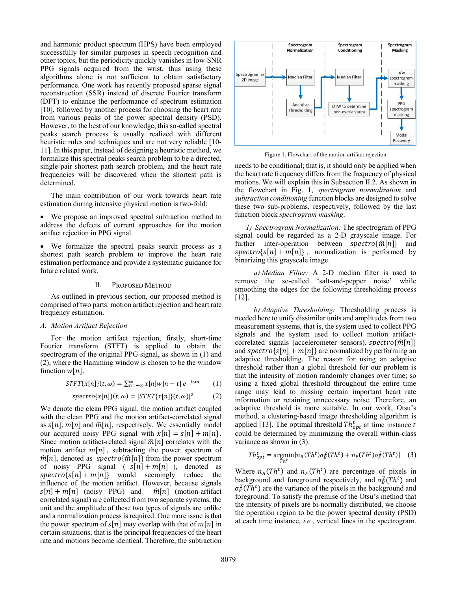and harmonic product spectrum (HPS) have been employed successfully for similar purposes in speech recognition and other topics, but the periodicity quickly vanishes in low-SNR PPG signals acquired from the wrist, thus using these algorithms alone is not sufficient to obtain satisfactory performance. One work has recently proposed sparse signal reconstruction (SSR) instead of discrete Fourier transform (DFT) to enhance the performance of spectrum estimation [10], followed by another process for choosing the heart rate from various peaks of the power spectral density (PSD). However, to the best of our knowledge, this so-called spectral peaks search process is usually realized with different heuristic rules and techniques and are not very reliable [10-11]. In this paper, instead of designing a heuristic method, we formalize this spectral peaks search problem to be a directed, single-pair shortest path search problem, and the heart rate frequencies will be discovered when the shortest path is determined.

The main contribution of our work towards heart rate estimation during intensive physical motion is two-fold:

• We propose an improved spectral subtraction method to address the defects of current approaches for the motion artifact rejection in PPG signal.

• We formalize the spectral peaks search process as a shortest path search problem to improve the heart rate estimation performance and provide a systematic guidance for future related work.

#### II. PROPOSED METHOD

As outlined in previous section, our proposed method is comprised of two parts: motion artifact rejection and heart rate frequency estimation.

# *A. Motion Artifact Rejection*

For the motion artifact rejection, firstly, short-time Fourier transform (STFT) is applied to obtain the spectrogram of the original PPG signal, as shown in (1) and (2), where the Hamming window is chosen to be the window function  $w[n]$ .

$$
STFT{x[n]}(t,\omega) = \sum_{n=-\infty}^{\infty} x[n]w[n-t] e^{-j\omega n}
$$
 (1)

$$
spectro\{x[n]\}(t,\omega) = |STFT\{x[n]\}(t,\omega)|^2 \tag{2}
$$

We denote the clean PPG signal, the motion artifact coupled with the clean PPG and the motion artifact-correlated signal as  $s[n], m[n]$  and  $\hat{m}[n]$ , respectively. We essentially model our acquired noisy PPG signal with  $x[n] = s[n] + m[n]$ . Since motion artifact-related signal  $\hat{m}[n]$  correlates with the motion artifact  $m[n]$ , subtracting the power spectrum of  $\hat{m}[n]$ , denoted as spectro $\{\hat{m}[n]\}$  from the power spectrum of noisy PPG signal ( $s[n] + m[n]$ ), denoted as  $spectro{s[n] + m[n]}$  would seemingly reduce the influence of the motion artifact. However, because signals  $s[n] + m[n]$  (noisy PPG) and  $\hat{m}[n]$  (motion-artifact correlated signal) are collected from two separate systems, the unit and the amplitude of these two types of signals are unlike and a normalization process is required. One more issue is that the power spectrum of  $s[n]$  may overlap with that of  $m[n]$  in certain situations, that is the principal frequencies of the heart rate and motions become identical. Therefore, the subtraction



Figure 1. Flowchart of the motion artifact rejection

needs to be conditional; that is, it should only be applied when the heart rate frequency differs from the frequency of physical motions. We will explain this in Subsection II.2. As shown in the flowchart in Fig. 1, *spectrogram normalization* and *subtraction conditioning* function blocks are designed to solve these two sub-problems, respectively, followed by the last function block *spectrogram masking*.

*1) Spectrogram Normalization:* The spectrogram of PPG signal could be regarded as a 2-D grayscale image. For further inter-operation between  $spectro{\lbrace \hat{m}[n]\rbrace}$  and  $spectro{s[n] + m[n]}$ , normalization is performed by binarizing this grayscale image.

*a) Median Filter:* A 2-D median filter is used to remove the so-called 'salt-and-pepper noise' while smoothing the edges for the following thresholding process [12].

*b) Adaptive Thresholding:* Thresholding process is needed here to unify dissimilar units and amplitudes from two measurement systems, that is, the system used to collect PPG signals and the system used to collect motion artifactcorrelated signals (accelerometer sensors).  $spectro{\{\hat{m}}[n]\}$ and  $spectro{s[n] + m[n]}$  are normalized by performing an adaptive thresholding. The reason for using an adaptive threshold rather than a global threshold for our problem is that the intensity of motion randomly changes over time; so using a fixed global threshold throughout the entire time range may lead to missing certain important heart rate information or retaining unnecessary noise. Therefore, an adaptive threshold is more suitable. In our work, Otsu's method, a clustering-based image thresholding algorithm is applied [13]. The optimal threshold  $Th_{opt}^t$  at time instance  $t$ could be determined by minimizing the overall within-class variance as shown in (3):

$$
Th_{opt}^t = \underset{Th^t}{\text{argmin}} [n_B(Th^t)\sigma_B^2(Th^t) + n_F(Th^t)\sigma_F^2(Th^t)] \quad (3)
$$

Where  $n_B(Th^t)$  and  $n_F(Th^t)$  are percentage of pixels in background and foreground respectively, and  $\sigma_B^2(Th^t)$  and  $\sigma_F^2(Th^t)$  are the variance of the pixels in the background and foreground. To satisfy the premise of the Otsu's method that the intensity of pixels are bi-normally distributed, we choose the operation region to be the power spectral density (PSD) at each time instance, *i.e.*, vertical lines in the spectrogram.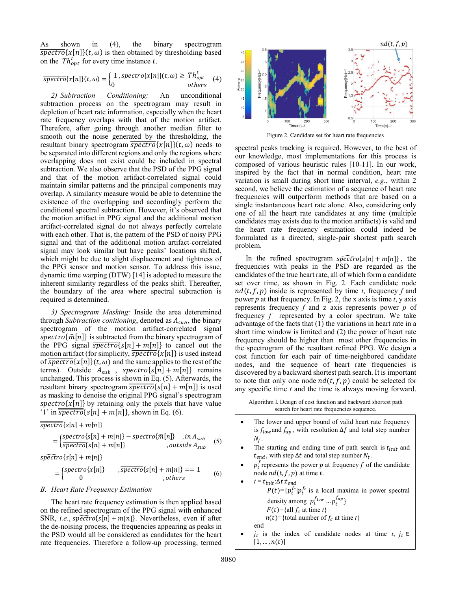As shown in (4), the binary spectrogram  $\overline{\text{spectro}}\{x[n]\}(t, \omega)$  is then obtained by thresholding based on the  $Th_{\text{out}}^t$  for every time instance t.

$$
\overline{\text{spectro}}\{x[n]\}(t,\omega) = \begin{cases} 1 \text{,} \text{spectro}\{x[n]\}(t,\omega) \ge T h_{opt}^t\\ 0 \text{,} \text{others} \end{cases} (4)
$$

*2) Subtraction Conditioning:* An unconditional subtraction process on the spectrogram may result in depletion of heart rate information, especially when the heart rate frequency overlaps with that of the motion artifact. Therefore, after going through another median filter to smooth out the noise generated by the thresholding, the resultant binary spectrogram  $\overline{\text{spectro}}\{x[n]\}(t, \omega)$  needs to be separated into different regions and only the regions where overlapping does not exist could be included in spectral subtraction. We also observe that the PSD of the PPG signal and that of the motion artifact-correlated signal could maintain similar patterns and the principal components may overlap. A similarity measure would be able to determine the existence of the overlapping and accordingly perform the conditional spectral subtraction. However, it's observed that the motion artifact in PPG signal and the additional motion artifact-correlated signal do not always perfectly correlate with each other. That is, the pattern of the PSD of noisy PPG signal and that of the additional motion artifact-correlated signal may look similar but have peaks' locations shifted, which might be due to slight displacement and tightness of the PPG sensor and motion sensor. To address this issue, dynamic time warping (DTW) [14] is adopted to measure the inherent similarity regardless of the peaks shift. Thereafter, the boundary of the area where spectral subtraction is required is determined.

*3) Spectrogram Masking:* Inside the area deteremined through *Subtraction conitioning*, denoted as  $A_{sub}$ , the binary spectrogram of the motion artifact-correlated signal  $\overline{\text{spectro}}\{\widehat{m}[n]\}$  is subtracted from the binary spectrogram of the PPG signal  $\overline{\text{spectro}}\{s[n] + m[n]\}$  to cancel out the motion artifact (for simplicity,  $\overline{\mathit{spectro}}\{x[n]\}$  is used instead of  $\overline{spectro}$ { $x[n]$ }( $t, \omega$ ) and the same applies to the rest of the terms). Outside  $A_{sub}$ ,  $\overline{spectro}$ {s[n] + m[n]} remains unchanged. This process is shown in Eq. (5). Afterwards, the resultant binary spectrogram  $\overline{\text{spectro}}\{s[n] + m[n]\}$  is used as masking to denoise the original PPG signal's spectrogram  ${spectro{x[n]}}$  by retaining only the pixels that have value '1' in  $\overline{\text{spectro}}\{s[n] + m[n]\}$ , shown in Eq. (6).

$$
\overline{\overline{\operatorname{spectro}}}\{s[n]+m[n]\}
$$

$$
= \begin{cases} \frac{\overline{spectro}\{s[n] + m[n]\} - \overline{spectro}\{\hat{m}[n]\}}{\overline{spectro}\{s[n] + m[n]\}} & , in A_{sub} \\ 0 & , outside A_{sub} \end{cases} (5)
$$

$$
s\widehat{pectro}\{s[n]+m[n]\}
$$

$$
= \begin{cases} \text{spectro}\{x[n]\} & , \overline{\text{spectro}}\{s[n] + m[n]\} == 1\\ 0 & , \text{others} \end{cases} \tag{6}
$$

#### *B. Heart Rate Frequency Estimation*

The heart rate frequency estimation is then applied based on the refined spectrogram of the PPG signal with enhanced SNR, *i.e.*,  $\widehat{spectro{s[n] + m[n]}}$ . Nevertheless, even if after the de-noising process, the frequencies appearing as peaks in the PSD would all be considered as candidates for the heart rate frequencies. Therefore a follow-up processing, termed



Figure 2. Candidate set for heart rate frequencies

spectral peaks tracking is required. However, to the best of our knowledge, most implementations for this process is composed of various heuristic rules [10-11]. In our work, inspired by the fact that in normal condition, heart rate variation is small during short time interval, *e.g.*, within 2 second, we believe the estimation of a sequence of heart rate frequencies will outperform methods that are based on a single instantaneous heart rate alone. Also, considering only one of all the heart rate candidates at any time (multiple candidates may exists due to the motion artifacts) is valid and the heart rate frequency estimation could indeed be formulated as a directed, single-pair shortest path search problem.

In the refined spectrogram  $\widehat{spectro{s[n] + m[n]}}$ , the frequencies with peaks in the PSD are regarded as the candidates of the true heart rate, all of which form a candidate set over time, as shown in Fig. 2. Each candidate node  $nd(t, f, p)$  inside is represented by time *t*, frequency *f* and power *p* at that frequency. In Fig. 2, the x axis is time *t*, y axis represents frequency *f* and z axis represents power *p* of frequency *f* represented by a color spectrum. We take advantage of the facts that (1) the variations in heart rate in a short time window is limited and (2) the power of heart rate frequency should be higher than most other frequencies in the spectrogram of the resultant refined PPG. We design a cost function for each pair of time-neighbored candidate nodes, and the sequence of heart rate frequencies is discovered by a backward shortest path search. It is important to note that only one node  $nd(t, f, p)$  could be selected for any specific time *t* and the time is always moving forward.

Algorithm I. Design of cost function and backward shortest path search for heart rate frequencies sequence.

| The lower and upper bound of valid heart rate frequency<br>is $f_{low}$ and $f_{up}$ , with resolution $\Delta f$ and total step number<br>$N_f$ . |
|----------------------------------------------------------------------------------------------------------------------------------------------------|
| The starting and ending time of path search is $t_{init}$ and                                                                                      |
| $t_{end}$ , with step $\Delta t$ and total step number $N_t$ .                                                                                     |
| $p_t^f$ represents the power p at frequency f of the candidate                                                                                     |
| node $nd(t, f, p)$ at time t.                                                                                                                      |
| $t = t_{init}$ : $\Delta t$ : $t_{end}$                                                                                                            |
| $P(t) = {p_t^{f_c}}   p_t^{f_c}$ is a local maxima in power spectral                                                                               |
| density among $p_t^{flow}  p_t^{f_{up}}\}$                                                                                                         |
| $F(t)=\{all f_c \text{ at time } t\}$                                                                                                              |
| $n(t)$ ={total number of $f_c$ at time t}                                                                                                          |
| end                                                                                                                                                |
| $j_t$ is the index of candidate nodes at time t, $j_t \in$                                                                                         |
| [1, , n(t)]                                                                                                                                        |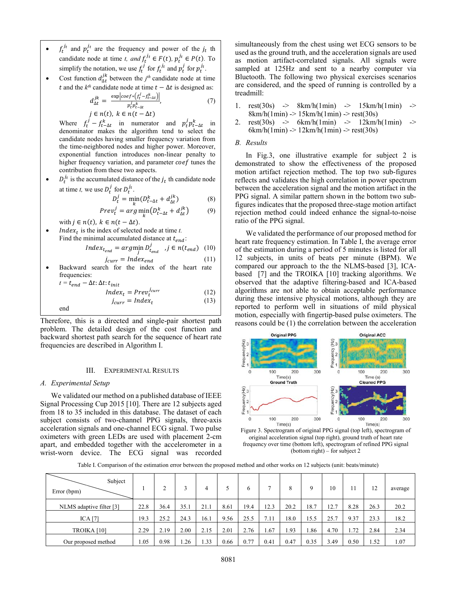- $f_t^{j_t}$  and  $p_t^{j_t}$  are the frequency and power of the  $j_t$  th candidate node at time *t, and*  $f_t^{Jt} \in F(t)$ ,  $p_t^{Jt} \in P(t)$ . To simplify the notation, we use  $f_t^j$  for  $f_t^{j_t}$  and  $p_t^j$  for  $p_t^{j_t}$ .
- Cost function  $d_{\Delta t}^{jk}$  between the *j<sup>th</sup>* candidate node at time t and the  $k^{th}$  candidate node at time  $t - \Delta t$  is designed as:

$$
d_{\Delta t}^{jk} = \frac{\exp|cos f * (f_t^j - f_{t-\Delta t}^k)|}{p_t^j p_{t-\Delta t}^k},
$$
  
\n
$$
j \in n(t), \ k \in n(t - \Delta t)
$$
\n(7)

Where  $f_t^j - f_{t-\Delta t}^k$  in numerator and  $p_t^j p_{t-\Delta t}^k$  in denominator makes the algorithm tend to select the candidate nodes having smaller frequency variation from the time-neighbored nodes and higher power. Moreover, exponential function introduces non-linear penalty to higher frequency variation, and parameter  $\cos f$  tunes the contribution from these two aspects.

 $D_t^{j_t}$  is the accumulated distance of the  $j_t$  th candidate node at time *t*, we use  $D_t^j$  for  $D_t^{j_t}$ .

$$
D_t^j = \min_k (D_{t-\Delta t}^k + d_{\Delta t}^{jk})
$$
 (8)

$$
Prev_t^j = arg \min_k (D_{t-\Delta t}^k + d_{\Delta t}^{jk})
$$
(9)

with  $j \in n(t)$ ,  $k \in n(t - \Delta t)$ .

• *Index<sub>t</sub>* is the index of selected node at time  $t$ . Find the minimal accumulated distance at  $t_{end}$ :<br>  $Index = argmin D^{j}$   $i \in n(t)$ 

$$
Index_{t_{end}} = argmin_{j} D_{t_{end}}^{j}, j \in n(t_{end}) \quad (10)
$$

$$
j_{curr} = Index_{end} \quad (11)
$$

• Backward search for the index of the heart rate frequencies:

$$
t = t_{end} - \Delta t: \Delta t: t_{init}
$$

$$
Index_t = Prev_t^{j_{curr}} \tag{12}
$$

$$
j_{curr} = Index_t
$$
 (13)

end

Therefore, this is a directed and single-pair shortest path problem. The detailed design of the cost function and backward shortest path search for the sequence of heart rate frequencies are described in Algorithm I.

# III. EXPERIMENTAL RESULTS

# *A. Experimental Setup*

We validated our method on a published database of IEEE Signal Processing Cup 2015 [10]. There are 12 subjects aged from 18 to 35 included in this database. The dataset of each subject consists of two-channel PPG signals, three-axis acceleration signals and one-channel ECG signal. Two pulse oximeters with green LEDs are used with placement 2-cm apart, and embedded together with the accelerometer in a wrist-worn device. The ECG signal was recorded simultaneously from the chest using wet ECG sensors to be used as the ground truth, and the acceleration signals are used as motion artifact-correlated signals. All signals were sampled at 125Hz and sent to a nearby computer via Bluetooth. The following two physical exercises scenarios are considered, and the speed of running is controlled by a treadmill:

- 1.  $rest(30s)$   $\rightarrow$   $8km/h(1min)$   $\rightarrow$   $15km/h(1min)$   $\rightarrow$  $8km/h(1min)$  ->  $15km/h(1min)$  ->  $rest(30s)$
- rest(30s)  $\rightarrow$  6km/h(1min)  $\rightarrow$  12km/h(1min)  $\rightarrow$ 6km/h(1min) ->  $12km/h(1min)$  ->  $rest(30s)$

## *B. Results*

In Fig.3, one illustrative example for subject 2 is demonstrated to show the effectiveness of the proposed motion artifact rejection method. The top two sub-figures reflects and validates the high correlation in power spectrum between the acceleration signal and the motion artifact in the PPG signal. A similar pattern shown in the bottom two subfigures indicates that the proposed three-stage motion artifact rejection method could indeed enhance the signal-to-noise ratio of the PPG signal.

We validated the performance of our proposed method for heart rate frequency estimation. In Table I, the average error of the estimation during a period of 5 minutes is listed for all 12 subjects, in units of beats per minute (BPM). We compared our approach to the the NLMS-based [3], ICAbased [7] and the TROIKA [10] tracking algorithms. We observed that the adaptive filtering-based and ICA-based algorithms are not able to obtain acceptable performance during these intensive physical motions, although they are reported to perform well in situations of mild physical motion, especially with fingertip-based pulse oximeters. The reasons could be (1) the correlation between the acceleration



Figure 3. Spectrogram of original PPG signal (top left), spectrogram of original acceleration signal (top right), ground truth of heart rate frequency over time (bottom left), spectrogram of refined PPG signal (bottom right) – for subject 2

Table I. Comparison of the estimation error between the proposed method and other works on 12 subjects (unit: beats/minute)

| Subject<br>Error (bpm)   |      | ▵    |      | 4    |      | 6    | ∽    | 8    | Q    | 10   | 11   | 12   | average |
|--------------------------|------|------|------|------|------|------|------|------|------|------|------|------|---------|
| NLMS adaptive filter [3] | 22.8 | 36.4 | 35.1 | 21.1 | 8.61 | 19.4 | 12.3 | 20.2 | 18.7 | 12.7 | 8.28 | 26.3 | 20.2    |
| ICA [7]                  | 19.3 | 25.2 | 24.3 | 16.1 | 9.56 | 25.5 | 7.11 | 18.0 | 15.5 | 25.7 | 9.37 | 23.3 | 18.2    |
| TROIKA <sup>[10]</sup>   | 2.29 | 2.19 | 2.00 | 2.15 | 2.01 | 2.76 | . 67 | 1.93 | .86  | 4.70 | 1.72 | 2.84 | 2.34    |
| Our proposed method      | 1.05 | 0.98 | . 26 | 1.33 | 0.66 | 0.77 | 0.41 | 0.47 | 0.35 | 3.49 | 0.50 | 1.52 | 1.07    |